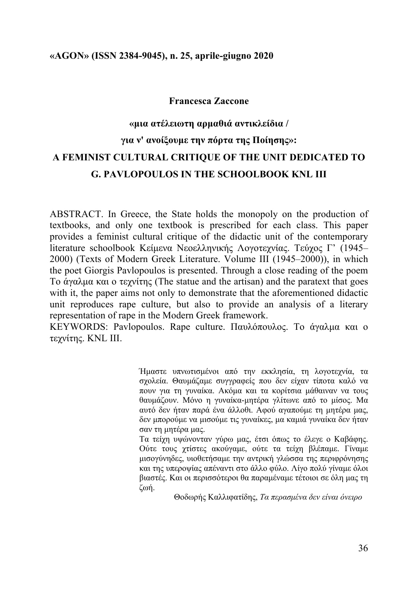#### **Francesca Zaccone**

# **«µια ατέλειωτη αρµαθιά αντικλείδια / για ν' ανοίξουµε την πόρτα της Ποίησης»: A FEMINIST CULTURAL CRITIQUE OF THE UNIT DEDICATED TO G. PAVLOPOULOS IN THE SCHOOLBOOK KNL III**

ABSTRACT. In Greece, the State holds the monopoly on the production of textbooks, and only one textbook is prescribed for each class. This paper provides a feminist cultural critique of the didactic unit of the contemporary literature schoolbook Κείµενα Νεοελληνικής Λογοτεχνίας. Τεύχος Γ' (1945*–* 2000) (Texts of Modern Greek Literature. Volume III (1945–2000)), in which the poet Giorgis Pavlopoulos is presented. Through a close reading of the poem Το άγαλµα και ο τεχνίτης (The statue and the artisan) and the paratext that goes with it, the paper aims not only to demonstrate that the aforementioned didactic unit reproduces rape culture, but also to provide an analysis of a literary representation of rape in the Modern Greek framework.

KEYWORDS: Pavlopoulos. Rape culture. Παυλόπουλος. Το άγαλμα και ο τεχνίτης. KNL III.

> Ήµαστε υπνωτισµένοι από την εκκλησία, τη λογοτεχνία, τα σχολεία. Θαυµάζαµε συγγραφείς που δεν είχαν τίποτα καλό να πουν για τη γυναίκα. Ακόµα και τα κορίτσια µάθαιναν να τους θαυµάζουν. Μόνο η γυναίκα-µητέρα γλίτωνε από το µίσος. Μα αυτό δεν ήταν παρά ένα άλλοθι. Αφού αγαπούµε τη µητέρα µας, δεν µπορούµε να µισούµε τις γυναίκες, µα καµιά γυναίκα δεν ήταν σαν τη µητέρα µας.

> Τα τείχη υψώνονταν γύρω µας, έτσι όπως το έλεγε ο Καβάφης. Ούτε τους χτίστες ακούγαµε, ούτε τα τείχη βλέπαµε. Γίναµε µισογύνηδες, υιοθετήσαµε την αντρική γλώσσα της περιφρόνησης και της υπεροψίας απέναντι στο άλλο φύλο. Λίγο πολύ γίναµε όλοι βιαστές. Και οι περισσότεροι θα παραµέναµε τέτοιοι σε όλη µας τη ζωή.

> > Θοδωρής Καλλιφατίδης, *Τα περασµένα δεν είναι όνειρο*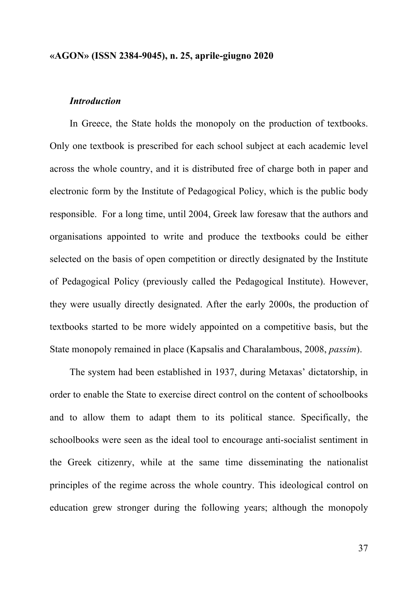## *Introduction*

In Greece, the State holds the monopoly on the production of textbooks. Only one textbook is prescribed for each school subject at each academic level across the whole country, and it is distributed free of charge both in paper and electronic form by the Institute of Pedagogical Policy, which is the public body responsible. For a long time, until 2004, Greek law foresaw that the authors and organisations appointed to write and produce the textbooks could be either selected on the basis of open competition or directly designated by the Institute of Pedagogical Policy (previously called the Pedagogical Institute). However, they were usually directly designated. After the early 2000s, the production of textbooks started to be more widely appointed on a competitive basis, but the State monopoly remained in place (Kapsalis and Charalambous, 2008, *passim*).

The system had been established in 1937, during Metaxas' dictatorship, in order to enable the State to exercise direct control on the content of schoolbooks and to allow them to adapt them to its political stance. Specifically, the schoolbooks were seen as the ideal tool to encourage anti-socialist sentiment in the Greek citizenry, while at the same time disseminating the nationalist principles of the regime across the whole country. This ideological control on education grew stronger during the following years; although the monopoly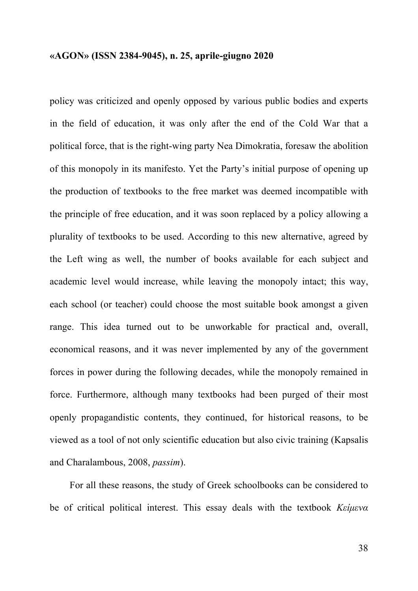policy was criticized and openly opposed by various public bodies and experts in the field of education, it was only after the end of the Cold War that a political force, that is the right-wing party Nea Dimokratia, foresaw the abolition of this monopoly in its manifesto. Yet the Party's initial purpose of opening up the production of textbooks to the free market was deemed incompatible with the principle of free education, and it was soon replaced by a policy allowing a plurality of textbooks to be used. According to this new alternative, agreed by the Left wing as well, the number of books available for each subject and academic level would increase, while leaving the monopoly intact; this way, each school (or teacher) could choose the most suitable book amongst a given range. This idea turned out to be unworkable for practical and, overall, economical reasons, and it was never implemented by any of the government forces in power during the following decades, while the monopoly remained in force. Furthermore, although many textbooks had been purged of their most openly propagandistic contents, they continued, for historical reasons, to be viewed as a tool of not only scientific education but also civic training (Kapsalis and Charalambous, 2008, *passim*).

For all these reasons, the study of Greek schoolbooks can be considered to be of critical political interest. This essay deals with the textbook *Κείµενα*

38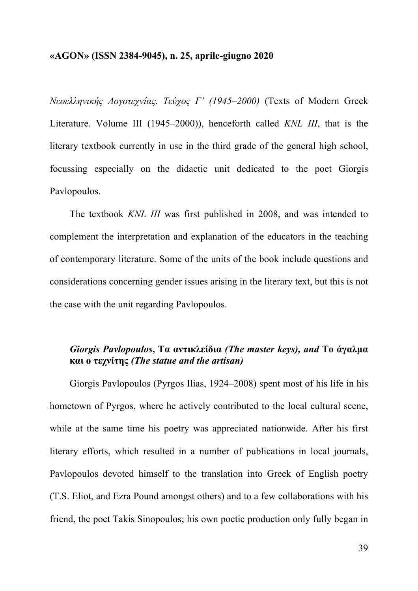*Νεοελληνικής Λογοτεχνίας. Τεύχος Γ' (1945–2000)* (Texts of Modern Greek Literature. Volume III (1945–2000)), henceforth called *KNL III*, that is the literary textbook currently in use in the third grade of the general high school, focussing especially on the didactic unit dedicated to the poet Giorgis Pavlopoulos.

The textbook *KNL III* was first published in 2008, and was intended to complement the interpretation and explanation of the educators in the teaching of contemporary literature. Some of the units of the book include questions and considerations concerning gender issues arising in the literary text, but this is not the case with the unit regarding Pavlopoulos.

# *Giorgis Pavlopoulos***, Τα αντικλείδια** *(The master keys), and* **Το άγαλµα και ο τεχνίτης** *(The statue and the artisan)*

Giorgis Pavlopoulos (Pyrgos Ilias, 1924–2008) spent most of his life in his hometown of Pyrgos, where he actively contributed to the local cultural scene, while at the same time his poetry was appreciated nationwide. After his first literary efforts, which resulted in a number of publications in local journals, Pavlopoulos devoted himself to the translation into Greek of English poetry (T.S. Eliot, and Ezra Pound amongst others) and to a few collaborations with his friend, the poet Takis Sinopoulos; his own poetic production only fully began in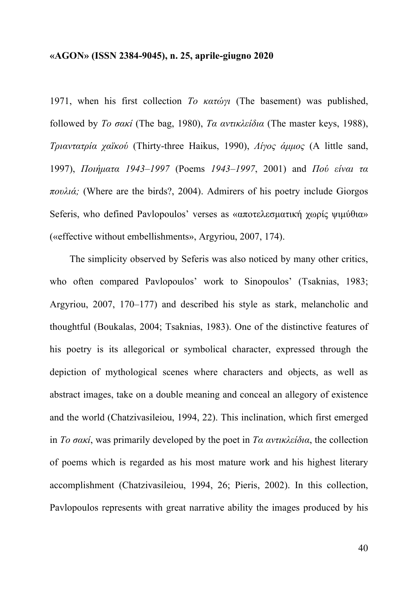1971, when his first collection *Το κατώγι* (The basement) was published, followed by *Το σακί* (The bag, 1980), *Τα αντικλείδια* (The master keys, 1988), *Τριαντατρία χαϊκού* (Thirty-three Haikus, 1990), *Λίγος άµµος* (A little sand, 1997), *Ποιήµατα 1943–1997* (Poems *1943–1997*, 2001) and *Πού είναι τα πουλιά;* (Where are the birds?, 2004). Admirers of his poetry include Giorgos Seferis, who defined Pavlopoulos' verses as «αποτελεσματική χωρίς ψιμύθια» («effective without embellishments», Argyriou, 2007, 174).

The simplicity observed by Seferis was also noticed by many other critics, who often compared Pavlopoulos' work to Sinopoulos' (Tsaknias, 1983; Argyriou, 2007, 170–177) and described his style as stark, melancholic and thoughtful (Boukalas, 2004; Tsaknias, 1983). One of the distinctive features of his poetry is its allegorical or symbolical character, expressed through the depiction of mythological scenes where characters and objects, as well as abstract images, take on a double meaning and conceal an allegory of existence and the world (Chatzivasileiou, 1994, 22). This inclination, which first emerged in *Το σακί*, was primarily developed by the poet in *Τα αντικλείδια*, the collection of poems which is regarded as his most mature work and his highest literary accomplishment (Chatzivasileiou, 1994, 26; Pieris, 2002). In this collection, Pavlopoulos represents with great narrative ability the images produced by his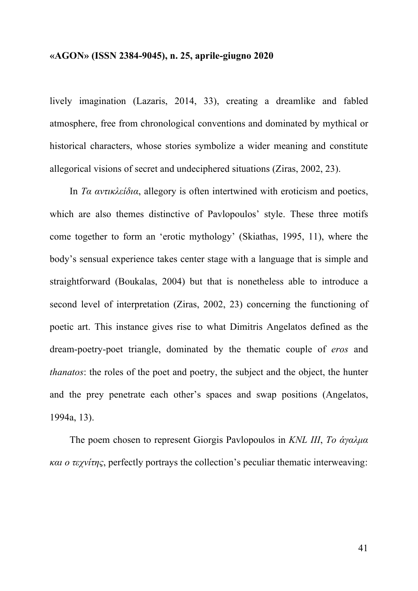lively imagination (Lazaris, 2014, 33), creating a dreamlike and fabled atmosphere, free from chronological conventions and dominated by mythical or historical characters, whose stories symbolize a wider meaning and constitute allegorical visions of secret and undeciphered situations (Ziras, 2002, 23).

In *Τα αντικλείδια*, allegory is often intertwined with eroticism and poetics, which are also themes distinctive of Pavlopoulos' style. These three motifs come together to form an 'erotic mythology' (Skiathas, 1995, 11), where the body's sensual experience takes center stage with a language that is simple and straightforward (Boukalas, 2004) but that is nonetheless able to introduce a second level of interpretation (Ziras, 2002, 23) concerning the functioning of poetic art. This instance gives rise to what Dimitris Angelatos defined as the dream-poetry-poet triangle, dominated by the thematic couple of *eros* and *thanatos*: the roles of the poet and poetry, the subject and the object, the hunter and the prey penetrate each other's spaces and swap positions (Angelatos, 1994a, 13).

The poem chosen to represent Giorgis Pavlopoulos in *KNL III*, *Το άγαλµα και ο τεχνίτης*, perfectly portrays the collection's peculiar thematic interweaving: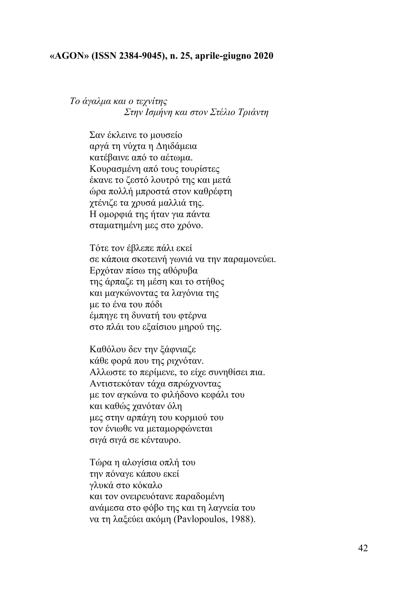*Το άγαλµα και ο τεχνίτης Στην Ισµήνη και στον Στέλιο Τριάντη*

> Σαν έκλεινε το µουσείο αργά τη νύχτα η Δηιδάµεια κατέβαινε από το αέτωµα. Κουρασµένη από τους τουρίστες έκανε το ζεστό λουτρό της και µετά ώρα πολλή µπροστά στον καθρέφτη χτένιζε τα χρυσά µαλλιά της. Η οµορφιά της ήταν για πάντα σταµατηµένη µες στο χρόνο.

Τότε τον έβλεπε πάλι εκεί σε κάποια σκοτεινή γωνιά να την παραµονεύει. Ερχόταν πίσω της αθόρυβα της άρπαζε τη µέση και το στήθος και µαγκώνοντας τα λαγόνια της µε το ένα του πόδι έµπηγε τη δυνατή του φτέρνα στο πλάι του εξαίσιου µηρού της.

Καθόλου δεν την ξάφνιαζε κάθε φορά που της ριχνόταν. Αλλωστε το περίµενε, το είχε συνηθίσει πια. Αντιστεκόταν τάχα σπρώχνοντας µε τον αγκώνα το φιλήδονο κεφάλι του και καθώς χανόταν όλη µες στην αρπάγη του κορµιού του τον ένιωθε να µεταµορφώνεται σιγά σιγά σε κένταυρο.

Τώρα η αλογίσια οπλή του την πόναγε κάπου εκεί γλυκά στο κόκαλο και τον ονειρευότανε παραδοµένη ανάµεσα στο φόβο της και τη λαγνεία του να τη λαξεύει ακόµη (Pavlopoulos, 1988).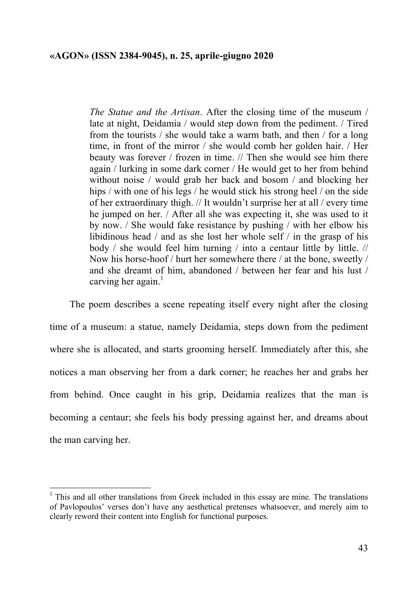*The Statue and the Artisan*. After the closing time of the museum / late at night, Deidamia / would step down from the pediment. / Tired from the tourists / she would take a warm bath, and then / for a long time, in front of the mirror / she would comb her golden hair. / Her beauty was forever / frozen in time. // Then she would see him there again / lurking in some dark corner / He would get to her from behind without noise / would grab her back and bosom / and blocking her hips / with one of his legs / he would stick his strong heel / on the side of her extraordinary thigh. // It wouldn't surprise her at all / every time he jumped on her. / After all she was expecting it, she was used to it by now. / She would fake resistance by pushing / with her elbow his libidinous head / and as she lost her whole self / in the grasp of his body / she would feel him turning / into a centaur little by little. // Now his horse-hoof / hurt her somewhere there / at the bone, sweetly / and she dreamt of him, abandoned / between her fear and his lust / carving her again. $<sup>1</sup>$ </sup>

The poem describes a scene repeating itself every night after the closing time of a museum: a statue, namely Deidamia, steps down from the pediment where she is allocated, and starts grooming herself. Immediately after this, she notices a man observing her from a dark corner; he reaches her and grabs her from behind. Once caught in his grip, Deidamia realizes that the man is becoming a centaur; she feels his body pressing against her, and dreams about the man carving her.

 <sup>1</sup> This and all other translations from Greek included in this essay are mine. The translations of Pavlopoulos' verses don't have any aesthetical pretenses whatsoever, and merely aim to clearly reword their content into English for functional purposes.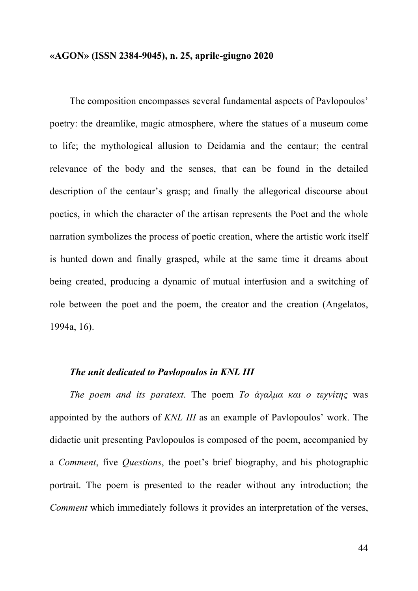The composition encompasses several fundamental aspects of Pavlopoulos' poetry: the dreamlike, magic atmosphere, where the statues of a museum come to life; the mythological allusion to Deidamia and the centaur; the central relevance of the body and the senses, that can be found in the detailed description of the centaur's grasp; and finally the allegorical discourse about poetics, in which the character of the artisan represents the Poet and the whole narration symbolizes the process of poetic creation, where the artistic work itself is hunted down and finally grasped, while at the same time it dreams about being created, producing a dynamic of mutual interfusion and a switching of role between the poet and the poem, the creator and the creation (Angelatos, 1994a, 16).

#### *The unit dedicated to Pavlopoulos in KNL III*

*The poem and its paratext*. The poem *Το άγαλµα και ο τεχνίτης* was appointed by the authors of *KNL III* as an example of Pavlopoulos' work. The didactic unit presenting Pavlopoulos is composed of the poem, accompanied by a *Comment*, five *Questions*, the poet's brief biography, and his photographic portrait. The poem is presented to the reader without any introduction; the *Comment* which immediately follows it provides an interpretation of the verses,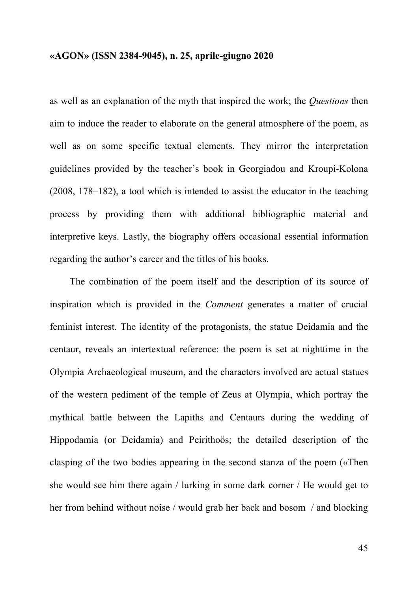as well as an explanation of the myth that inspired the work; the *Questions* then aim to induce the reader to elaborate on the general atmosphere of the poem, as well as on some specific textual elements. They mirror the interpretation guidelines provided by the teacher's book in Georgiadou and Kroupi-Kolona (2008, 178–182), a tool which is intended to assist the educator in the teaching process by providing them with additional bibliographic material and interpretive keys. Lastly, the biography offers occasional essential information regarding the author's career and the titles of his books.

The combination of the poem itself and the description of its source of inspiration which is provided in the *Comment* generates a matter of crucial feminist interest. The identity of the protagonists, the statue Deidamia and the centaur, reveals an intertextual reference: the poem is set at nighttime in the Olympia Archaeological museum, and the characters involved are actual statues of the western pediment of the temple of Zeus at Olympia, which portray the mythical battle between the Lapiths and Centaurs during the wedding of Hippodamia (or Deidamia) and Peirithoös; the detailed description of the clasping of the two bodies appearing in the second stanza of the poem («Then she would see him there again / lurking in some dark corner / He would get to her from behind without noise / would grab her back and bosom / and blocking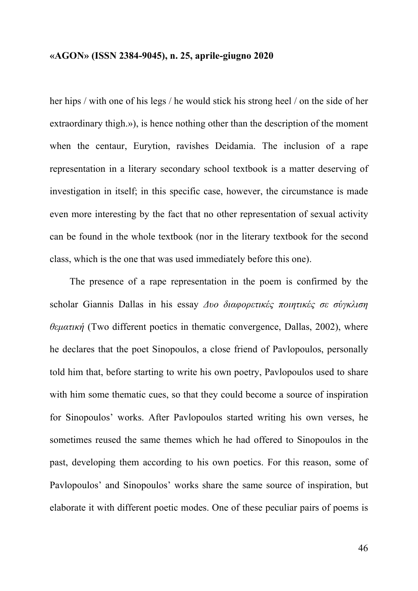her hips / with one of his legs / he would stick his strong heel / on the side of her extraordinary thigh.»), is hence nothing other than the description of the moment when the centaur, Eurytion, ravishes Deidamia. The inclusion of a rape representation in a literary secondary school textbook is a matter deserving of investigation in itself; in this specific case, however, the circumstance is made even more interesting by the fact that no other representation of sexual activity can be found in the whole textbook (nor in the literary textbook for the second class, which is the one that was used immediately before this one).

The presence of a rape representation in the poem is confirmed by the scholar Giannis Dallas in his essay *Δυο διαφορετικές ποιητικές σε σύγκλιση θεµατική* (Two different poetics in thematic convergence, Dallas, 2002), where he declares that the poet Sinopoulos, a close friend of Pavlopoulos, personally told him that, before starting to write his own poetry, Pavlopoulos used to share with him some thematic cues, so that they could become a source of inspiration for Sinopoulos' works. After Pavlopoulos started writing his own verses, he sometimes reused the same themes which he had offered to Sinopoulos in the past, developing them according to his own poetics. For this reason, some of Pavlopoulos' and Sinopoulos' works share the same source of inspiration, but elaborate it with different poetic modes. One of these peculiar pairs of poems is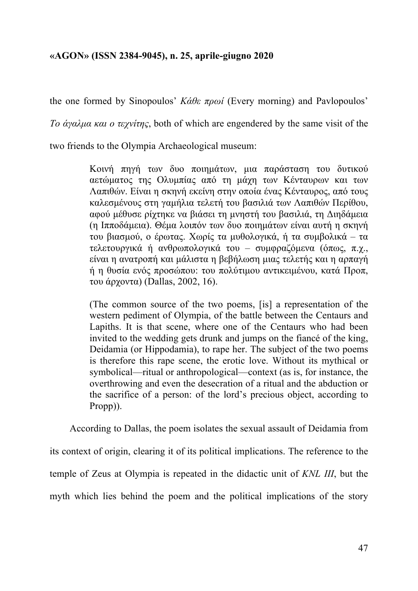the one formed by Sinopoulos' *Κάθε πρωί* (Every morning) and Pavlopoulos'

*Το άγαλµα και ο τεχνίτης*, both of which are engendered by the same visit of the

two friends to the Olympia Archaeological museum:

Κοινή πηγή των δυο ποιηµάτων, µια παράσταση του δυτικού αετώµατος της Ολυµπίας από τη µάχη των Κένταυρων και των Λαπιθών. Είναι η σκηνή εκείνη στην οποία ένας Κένταυρος, από τους καλεσµένους στη γαµήλια τελετή του βασιλιά των Λαπιθών Περίθου, αφού µέθυσε ρίχτηκε να βιάσει τη µνηστή του βασιλιά, τη Διηδάµεια (η Ιπποδάµεια). Θέµα λοιπόν των δυο ποιηµάτων είναι αυτή η σκηνή του βιασµού, ο έρωτας. Χωρίς τα µυθολογικά, ή τα συµβολικά – τα τελετουργικά ή ανθρωπολογικά του – συµφραζόµενα (όπως, π.χ., είναι η ανατροπή και µάλιστα η βεβήλωση µιας τελετής και η αρπαγή ή η θυσία ενός προσώπου: του πολύτιµου αντικειµένου, κατά Προπ, του άρχοντα) (Dallas, 2002, 16).

(The common source of the two poems, [is] a representation of the western pediment of Olympia, of the battle between the Centaurs and Lapiths. It is that scene, where one of the Centaurs who had been invited to the wedding gets drunk and jumps on the fiancé of the king, Deidamia (or Hippodamia), to rape her. The subject of the two poems is therefore this rape scene, the erotic love. Without its mythical or symbolical—ritual or anthropological—context (as is, for instance, the overthrowing and even the desecration of a ritual and the abduction or the sacrifice of a person: of the lord's precious object, according to Propp)).

According to Dallas, the poem isolates the sexual assault of Deidamia from

its context of origin, clearing it of its political implications. The reference to the temple of Zeus at Olympia is repeated in the didactic unit of *KNL III*, but the myth which lies behind the poem and the political implications of the story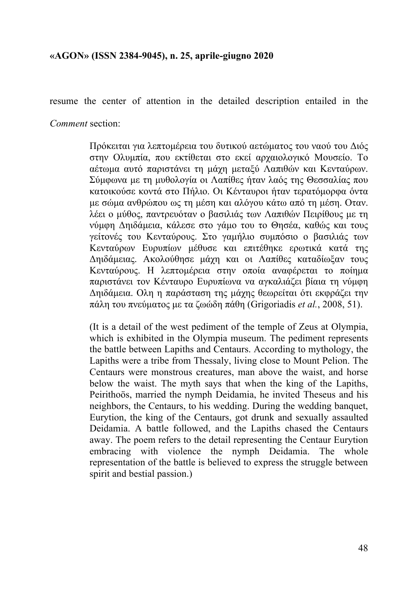resume the center of attention in the detailed description entailed in the

*Comment* section:

Πρόκειται για λεπτοµέρεια του δυτικού αετώµατος του ναού του Διός στην Ολυµπία, που εκτίθεται στο εκεί αρχαιολογικό Μουσείο. Το αέτωµα αυτό παριστάνει τη µάχη µεταξύ Λαπιθών και Κενταύρων. Σύµφωνα µε τη µυθολογία οι Λαπίθες ήταν λαός της Θεσσαλίας που κατοικούσε κοντά στο Πήλιο. Οι Κένταυροι ήταν τερατόµορφα όντα µε σώµα ανθρώπου ως τη µέση και αλόγου κάτω από τη µέση. Οταν. λέει ο µύθος, παντρευόταν ο βασιλιάς των Λαπιθών Πειρίθους µε τη νύµφη Δηιδάµεια, κάλεσε στο γάµο του το Θησέα, καθώς και τους γείτονές του Κενταύρους. Στο γαµήλιο συµπόσιο ο βασιλιάς των Κενταύρων Ευρυπίων µέθυσε και επιτέθηκε ερωτικά κατά της Δηιδάµειας. Ακολούθησε µάχη και οι Λαπίθες καταδίωξαν τους Κενταύρους. Η λεπτοµέρεια στην οποία αναφέρεται το ποίηµα παριστάνει τον Κένταυρο Ευρυπίωνα να αγκαλιάζει βίαια τη νύµφη Δηιδάµεια. Ολη η παράσταση της µάχης θεωρείται ότι εκφράζει την πάλη του πνεύµατος µε τα ζωώδη πάθη (Grigoriadis *et al.*, 2008, 51).

(It is a detail of the west pediment of the temple of Zeus at Olympia, which is exhibited in the Olympia museum. The pediment represents the battle between Lapiths and Centaurs. According to mythology, the Lapiths were a tribe from Thessaly, living close to Mount Pelion. The Centaurs were monstrous creatures, man above the waist, and horse below the waist. The myth says that when the king of the Lapiths, Peirithoös, married the nymph Deidamia, he invited Theseus and his neighbors, the Centaurs, to his wedding. During the wedding banquet, Eurytion, the king of the Centaurs, got drunk and sexually assaulted Deidamia. A battle followed, and the Lapiths chased the Centaurs away. The poem refers to the detail representing the Centaur Eurytion embracing with violence the nymph Deidamia. The whole representation of the battle is believed to express the struggle between spirit and bestial passion.)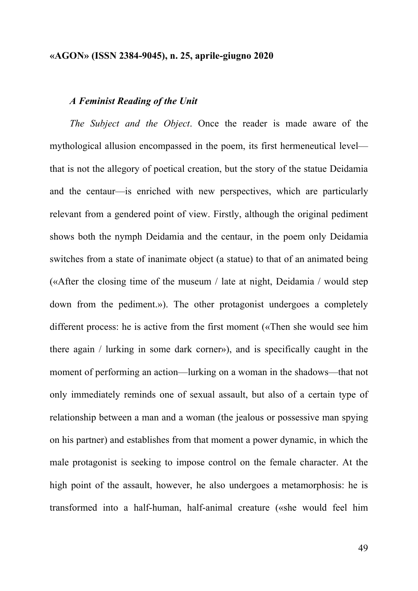## *A Feminist Reading of the Unit*

*The Subject and the Object*. Once the reader is made aware of the mythological allusion encompassed in the poem, its first hermeneutical level that is not the allegory of poetical creation, but the story of the statue Deidamia and the centaur—is enriched with new perspectives, which are particularly relevant from a gendered point of view. Firstly, although the original pediment shows both the nymph Deidamia and the centaur, in the poem only Deidamia switches from a state of inanimate object (a statue) to that of an animated being («After the closing time of the museum / late at night, Deidamia / would step down from the pediment.»). The other protagonist undergoes a completely different process: he is active from the first moment («Then she would see him there again / lurking in some dark corner»), and is specifically caught in the moment of performing an action—lurking on a woman in the shadows—that not only immediately reminds one of sexual assault, but also of a certain type of relationship between a man and a woman (the jealous or possessive man spying on his partner) and establishes from that moment a power dynamic, in which the male protagonist is seeking to impose control on the female character. At the high point of the assault, however, he also undergoes a metamorphosis: he is transformed into a half-human, half-animal creature («she would feel him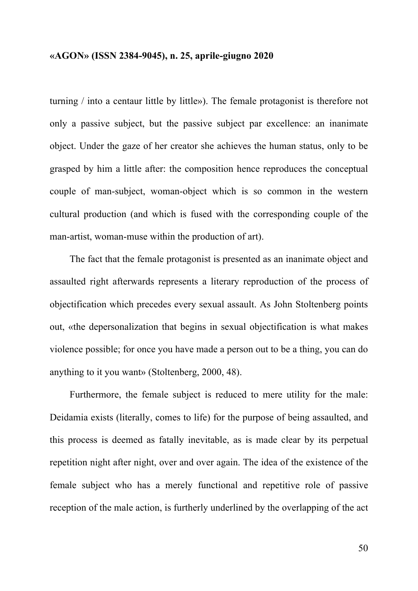turning / into a centaur little by little»). The female protagonist is therefore not only a passive subject, but the passive subject par excellence: an inanimate object. Under the gaze of her creator she achieves the human status, only to be grasped by him a little after: the composition hence reproduces the conceptual couple of man-subject, woman-object which is so common in the western cultural production (and which is fused with the corresponding couple of the man-artist, woman-muse within the production of art).

The fact that the female protagonist is presented as an inanimate object and assaulted right afterwards represents a literary reproduction of the process of objectification which precedes every sexual assault. As John Stoltenberg points out, «the depersonalization that begins in sexual objectification is what makes violence possible; for once you have made a person out to be a thing, you can do anything to it you want» (Stoltenberg, 2000, 48).

Furthermore, the female subject is reduced to mere utility for the male: Deidamia exists (literally, comes to life) for the purpose of being assaulted, and this process is deemed as fatally inevitable, as is made clear by its perpetual repetition night after night, over and over again. The idea of the existence of the female subject who has a merely functional and repetitive role of passive reception of the male action, is furtherly underlined by the overlapping of the act

50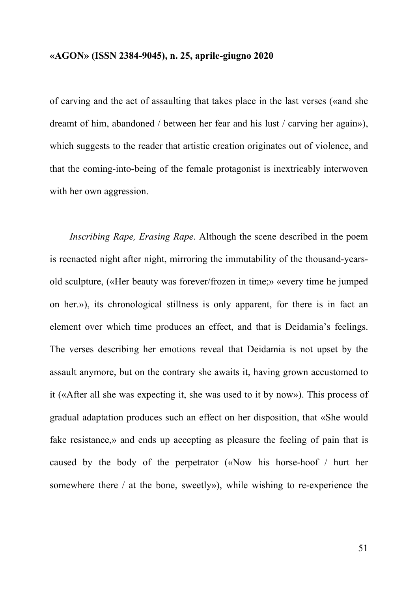of carving and the act of assaulting that takes place in the last verses («and she dreamt of him, abandoned / between her fear and his lust / carving her again»), which suggests to the reader that artistic creation originates out of violence, and that the coming-into-being of the female protagonist is inextricably interwoven with her own aggression.

*Inscribing Rape, Erasing Rape*. Although the scene described in the poem is reenacted night after night, mirroring the immutability of the thousand-yearsold sculpture, («Her beauty was forever/frozen in time;» «every time he jumped on her.»), its chronological stillness is only apparent, for there is in fact an element over which time produces an effect, and that is Deidamia's feelings. The verses describing her emotions reveal that Deidamia is not upset by the assault anymore, but on the contrary she awaits it, having grown accustomed to it («After all she was expecting it, she was used to it by now»). This process of gradual adaptation produces such an effect on her disposition, that «She would fake resistance,» and ends up accepting as pleasure the feeling of pain that is caused by the body of the perpetrator («Now his horse-hoof / hurt her somewhere there / at the bone, sweetly»), while wishing to re-experience the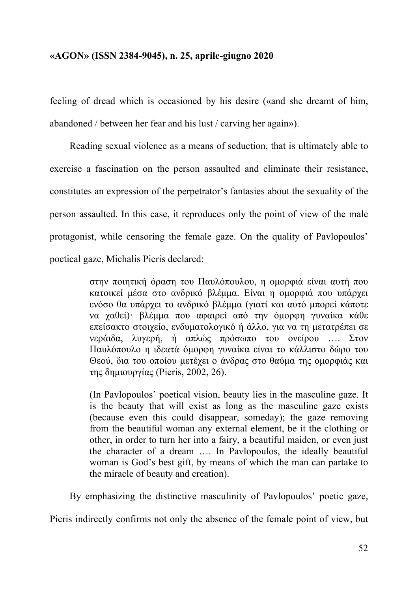feeling of dread which is occasioned by his desire («and she dreamt of him, abandoned / between her fear and his lust / carving her again»).

Reading sexual violence as a means of seduction, that is ultimately able to exercise a fascination on the person assaulted and eliminate their resistance, constitutes an expression of the perpetrator's fantasies about the sexuality of the person assaulted. In this case, it reproduces only the point of view of the male protagonist, while censoring the female gaze. On the quality of Pavlopoulos' poetical gaze, Michalis Pieris declared:

> στην ποιητική όραση του Παυλόπουλου, η οµορφιά είναι αυτή που κατοικεί µέσα στο ανδρικό βλέµµα. Είναι η οµορφιά που υπάρχει ενόσο θα υπάρχει το ανδρικό βλέµµα (γιατί και αυτό µπορεί κάποτε να χαθεί)· βλέµµα που αφαιρεί από την όµορφη γυναίκα κάθε επείσακτο στοιχείο, ενδυµατολογικό ή άλλο, για να τη µετατρέπει σε νεράιδα, λυγερή, ή απλώς πρόσωπο του ονείρου …. Στον Παυλόπουλο η ιδεατά όµορφη γυναίκα είναι το κάλλιστο δώρο του Θεού, δια του οποίου µετέχει ο άνδρας στο θαύµα της οµορφιάς και της δηµιουργίας (Pieris, 2002, 26).

> (In Pavlopoulos' poetical vision, beauty lies in the masculine gaze. It is the beauty that will exist as long as the masculine gaze exists (because even this could disappear, someday); the gaze removing from the beautiful woman any external element, be it the clothing or other, in order to turn her into a fairy, a beautiful maiden, or even just the character of a dream …. In Pavlopoulos, the ideally beautiful woman is God's best gift, by means of which the man can partake to the miracle of beauty and creation).

By emphasizing the distinctive masculinity of Pavlopoulos' poetic gaze, Pieris indirectly confirms not only the absence of the female point of view, but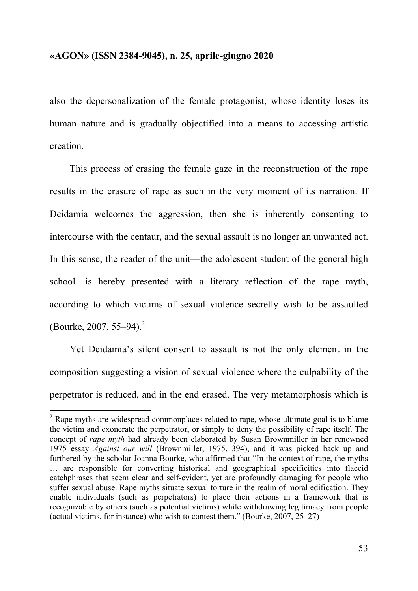also the depersonalization of the female protagonist, whose identity loses its human nature and is gradually objectified into a means to accessing artistic creation.

This process of erasing the female gaze in the reconstruction of the rape results in the erasure of rape as such in the very moment of its narration. If Deidamia welcomes the aggression, then she is inherently consenting to intercourse with the centaur, and the sexual assault is no longer an unwanted act. In this sense, the reader of the unit—the adolescent student of the general high school—is hereby presented with a literary reflection of the rape myth, according to which victims of sexual violence secretly wish to be assaulted (Bourke, 2007, 55–94).<sup>2</sup>

Yet Deidamia's silent consent to assault is not the only element in the composition suggesting a vision of sexual violence where the culpability of the perpetrator is reduced, and in the end erased. The very metamorphosis which is

<sup>&</sup>lt;sup>2</sup> Rape myths are widespread commonplaces related to rape, whose ultimate goal is to blame the victim and exonerate the perpetrator, or simply to deny the possibility of rape itself. The concept of *rape myth* had already been elaborated by Susan Brownmiller in her renowned 1975 essay *Against our will* (Brownmiller, 1975, 394), and it was picked back up and furthered by the scholar Joanna Bourke, who affirmed that "In the context of rape, the myths … are responsible for converting historical and geographical specificities into flaccid catchphrases that seem clear and self-evident, yet are profoundly damaging for people who suffer sexual abuse. Rape myths situate sexual torture in the realm of moral edification. They enable individuals (such as perpetrators) to place their actions in a framework that is recognizable by others (such as potential victims) while withdrawing legitimacy from people (actual victims, for instance) who wish to contest them." (Bourke, 2007, 25–27)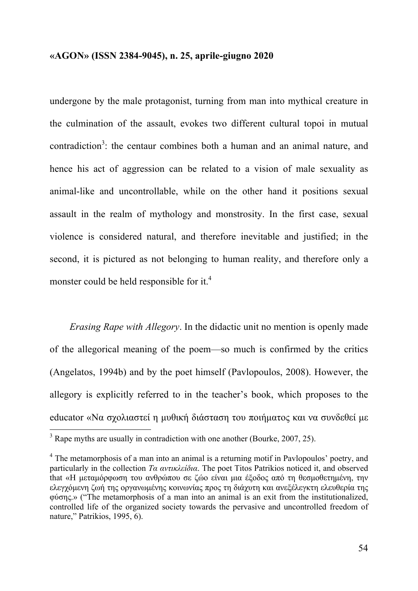undergone by the male protagonist, turning from man into mythical creature in the culmination of the assault, evokes two different cultural topoi in mutual contradiction<sup>3</sup>: the centaur combines both a human and an animal nature, and hence his act of aggression can be related to a vision of male sexuality as animal-like and uncontrollable, while on the other hand it positions sexual assault in the realm of mythology and monstrosity. In the first case, sexual violence is considered natural, and therefore inevitable and justified; in the second, it is pictured as not belonging to human reality, and therefore only a monster could be held responsible for it.<sup>4</sup>

*Erasing Rape with Allegory*. In the didactic unit no mention is openly made of the allegorical meaning of the poem—so much is confirmed by the critics (Angelatos, 1994b) and by the poet himself (Pavlopoulos, 2008). However, the allegory is explicitly referred to in the teacher's book, which proposes to the educator «Να σχολιαστεί η μυθική διάσταση του ποιήματος και να συνδεθεί με

<sup>&</sup>lt;sup>3</sup> Rape myths are usually in contradiction with one another (Bourke, 2007, 25).

 $4\degree$  The metamorphosis of a man into an animal is a returning motif in Pavlopoulos' poetry, and particularly in the collection *Τα αντικλείδια*. The poet Titos Patrikios noticed it, and observed that «Η μεταμόρφωση του ανθρώπου σε ζώο είναι μια έξοδος από τη θεσμοθετημένη, την ελεγχόµενη ζωή της οργανωµένης κοινωνίας προς τη διάχυτη και ανεξέλεγκτη ελευθερία της φύσης.» ("The metamorphosis of a man into an animal is an exit from the institutionalized, controlled life of the organized society towards the pervasive and uncontrolled freedom of nature," Patrikios, 1995, 6).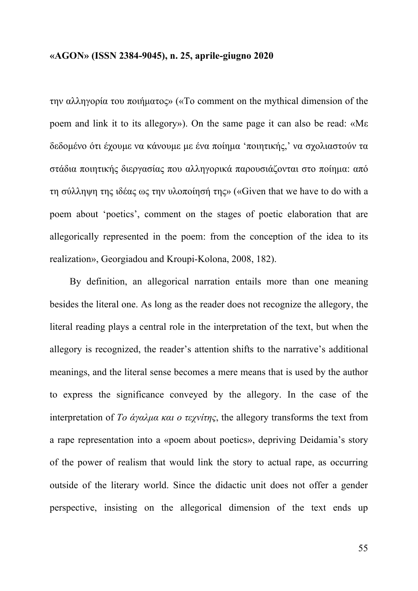την αλληγορία του ποιήµατος» («To comment on the mythical dimension of the poem and link it to its allegory»). On the same page it can also be read: «Με δεδοµένο ότι έχουµε να κάνουµε µε ένα ποίηµα 'ποιητικής,' να σχολιαστούν τα στάδια ποιητικής διεργασίας που αλληγορικά παρουσιάζονται στο ποίηµα: από τη σύλληψη της ιδέας ως την υλοποίησή της» («Given that we have to do with a poem about 'poetics', comment on the stages of poetic elaboration that are allegorically represented in the poem: from the conception of the idea to its realization», Georgiadou and Kroupi-Kolona, 2008, 182).

By definition, an allegorical narration entails more than one meaning besides the literal one. As long as the reader does not recognize the allegory, the literal reading plays a central role in the interpretation of the text, but when the allegory is recognized, the reader's attention shifts to the narrative's additional meanings, and the literal sense becomes a mere means that is used by the author to express the significance conveyed by the allegory. In the case of the interpretation of *Το άγαλµα και ο τεχνίτης*, the allegory transforms the text from a rape representation into a «poem about poetics», depriving Deidamia's story of the power of realism that would link the story to actual rape, as occurring outside of the literary world. Since the didactic unit does not offer a gender perspective, insisting on the allegorical dimension of the text ends up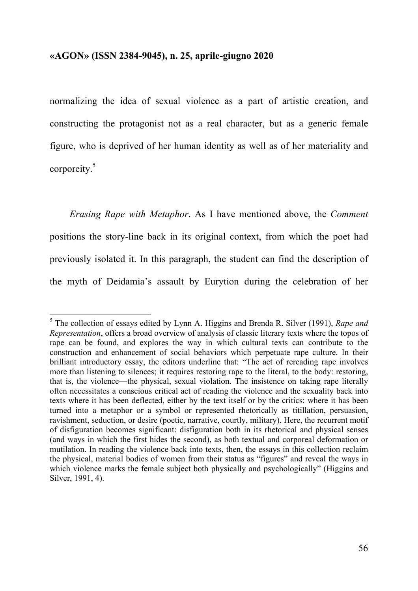normalizing the idea of sexual violence as a part of artistic creation, and constructing the protagonist not as a real character, but as a generic female figure, who is deprived of her human identity as well as of her materiality and corporeity.5

*Erasing Rape with Metaphor*. As I have mentioned above, the *Comment* positions the story-line back in its original context, from which the poet had previously isolated it. In this paragraph, the student can find the description of the myth of Deidamia's assault by Eurytion during the celebration of her

 <sup>5</sup> The collection of essays edited by Lynn A. Higgins and Brenda R. Silver (1991), *Rape and Representation*, offers a broad overview of analysis of classic literary texts where the topos of rape can be found, and explores the way in which cultural texts can contribute to the construction and enhancement of social behaviors which perpetuate rape culture. In their brilliant introductory essay, the editors underline that: "The act of rereading rape involves more than listening to silences; it requires restoring rape to the literal, to the body: restoring, that is, the violence—the physical, sexual violation. The insistence on taking rape literally often necessitates a conscious critical act of reading the violence and the sexuality back into texts where it has been deflected, either by the text itself or by the critics: where it has been turned into a metaphor or a symbol or represented rhetorically as titillation, persuasion, ravishment, seduction, or desire (poetic, narrative, courtly, military). Here, the recurrent motif of disfiguration becomes significant: disfiguration both in its rhetorical and physical senses (and ways in which the first hides the second), as both textual and corporeal deformation or mutilation. In reading the violence back into texts, then, the essays in this collection reclaim the physical, material bodies of women from their status as "figures" and reveal the ways in which violence marks the female subject both physically and psychologically" (Higgins and Silver, 1991, 4).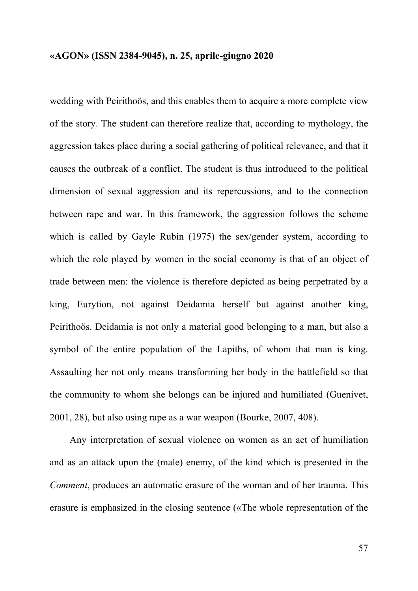wedding with Peirithoös, and this enables them to acquire a more complete view of the story. The student can therefore realize that, according to mythology, the aggression takes place during a social gathering of political relevance, and that it causes the outbreak of a conflict. The student is thus introduced to the political dimension of sexual aggression and its repercussions, and to the connection between rape and war. In this framework, the aggression follows the scheme which is called by Gayle Rubin (1975) the sex/gender system, according to which the role played by women in the social economy is that of an object of trade between men: the violence is therefore depicted as being perpetrated by a king, Eurytion, not against Deidamia herself but against another king, Peirithoös. Deidamia is not only a material good belonging to a man, but also a symbol of the entire population of the Lapiths, of whom that man is king. Assaulting her not only means transforming her body in the battlefield so that the community to whom she belongs can be injured and humiliated (Guenivet, 2001, 28), but also using rape as a war weapon (Bourke, 2007, 408).

Any interpretation of sexual violence on women as an act of humiliation and as an attack upon the (male) enemy, of the kind which is presented in the *Comment*, produces an automatic erasure of the woman and of her trauma. This erasure is emphasized in the closing sentence («The whole representation of the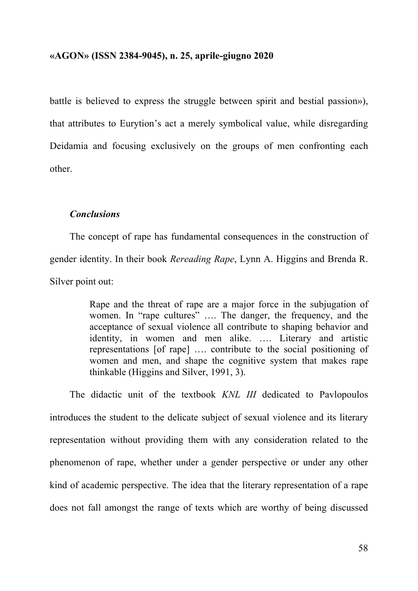battle is believed to express the struggle between spirit and bestial passion»), that attributes to Eurytion's act a merely symbolical value, while disregarding Deidamia and focusing exclusively on the groups of men confronting each other.

## *Conclusions*

The concept of rape has fundamental consequences in the construction of gender identity. In their book *Rereading Rape*, Lynn A. Higgins and Brenda R. Silver point out:

> Rape and the threat of rape are a major force in the subjugation of women. In "rape cultures" …. The danger, the frequency, and the acceptance of sexual violence all contribute to shaping behavior and identity, in women and men alike. …. Literary and artistic representations [of rape] …. contribute to the social positioning of women and men, and shape the cognitive system that makes rape thinkable (Higgins and Silver, 1991, 3).

The didactic unit of the textbook *KNL III* dedicated to Pavlopoulos introduces the student to the delicate subject of sexual violence and its literary representation without providing them with any consideration related to the phenomenon of rape, whether under a gender perspective or under any other kind of academic perspective. The idea that the literary representation of a rape does not fall amongst the range of texts which are worthy of being discussed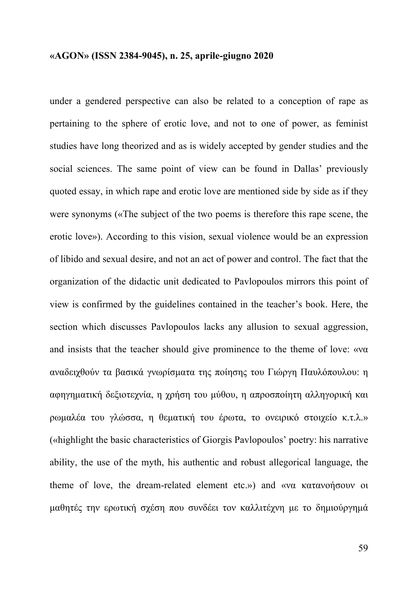under a gendered perspective can also be related to a conception of rape as pertaining to the sphere of erotic love, and not to one of power, as feminist studies have long theorized and as is widely accepted by gender studies and the social sciences. The same point of view can be found in Dallas' previously quoted essay, in which rape and erotic love are mentioned side by side as if they were synonyms («The subject of the two poems is therefore this rape scene, the erotic love»). According to this vision, sexual violence would be an expression of libido and sexual desire, and not an act of power and control. The fact that the organization of the didactic unit dedicated to Pavlopoulos mirrors this point of view is confirmed by the guidelines contained in the teacher's book. Here, the section which discusses Pavlopoulos lacks any allusion to sexual aggression, and insists that the teacher should give prominence to the theme of love: «να αναδειχθούν τα βασικά γνωρίσµατα της ποίησης του Γιώργη Παυλόπουλου: η αφηγηµατική δεξιοτεχνία, η χρήση του µύθου, η απροσποίητη αλληγορική και ρωµαλέα του γλώσσα, η θεµατική του έρωτα, το ονειρικό στοιχείο κ.τ.λ.» («highlight the basic characteristics of Giorgis Pavlopoulos' poetry: his narrative ability, the use of the myth, his authentic and robust allegorical language, the theme of love, the dream-related element etc.») and «να κατανοήσουν οι µαθητές την ερωτική σχέση που συνδέει τον καλλιτέχνη µε το δηµιούργηµά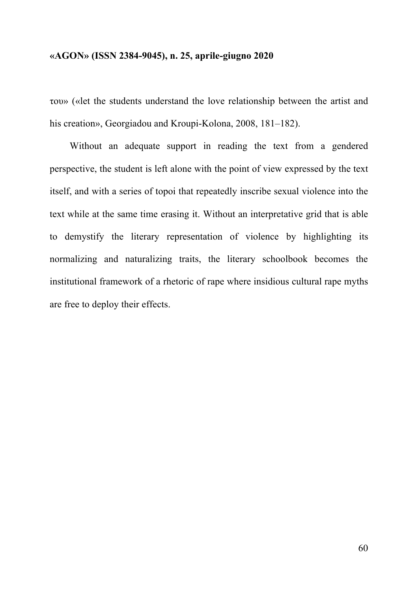του» («let the students understand the love relationship between the artist and his creation», Georgiadou and Kroupi-Kolona, 2008, 181–182).

Without an adequate support in reading the text from a gendered perspective, the student is left alone with the point of view expressed by the text itself, and with a series of topoi that repeatedly inscribe sexual violence into the text while at the same time erasing it. Without an interpretative grid that is able to demystify the literary representation of violence by highlighting its normalizing and naturalizing traits, the literary schoolbook becomes the institutional framework of a rhetoric of rape where insidious cultural rape myths are free to deploy their effects.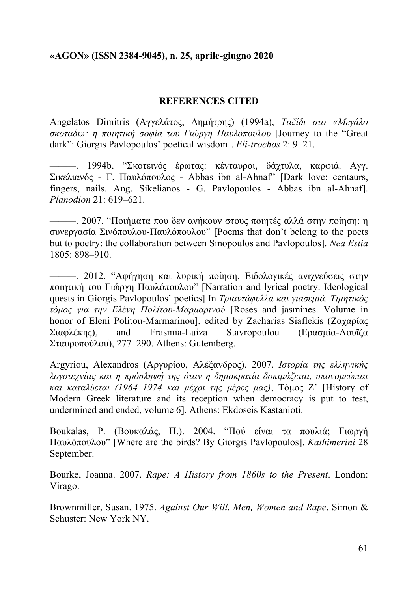## **REFERENCES CITED**

Angelatos Dimitris (Αγγελάτος, Δηµήτρης) (1994a), *Ταξίδι στο «Μεγάλο σκοτάδι»: η ποιητική σοφία του Γιώργη Παυλόπουλου* [Journey to the "Great dark": Giorgis Pavlopoulos' poetical wisdom]. *Eli-trochos* 2: 9–21.

*———*. 1994b. "Σκοτεινός έρωτας: κένταυροι, δάχτυλα, καρφιά. Αγγ. Σικελιανός - Γ. Παυλόπουλος - Abbas ibn al-Ahnaf" [Dark love: centaurs, fingers, nails. Ang. Sikelianos - G. Pavlopoulos - Abbas ibn al-Ahnaf]. *Planodion* 21: 619–621.

*———*. 2007. "Ποιήµατα που δεν ανήκουν στους ποιητές αλλά στην ποίηση: η συνεργασία Σινόπουλου-Παυλόπουλου" [Poems that don't belong to the poets but to poetry: the collaboration between Sinopoulos and Pavlopoulos]. *Nea Estia* 1805: 898–910.

*———*. 2012. "Αφήγηση και λυρική ποίηση. Ειδολογικές ανιχνεύσεις στην ποιητική του Γιώργη Παυλόπουλου" [Narration and lyrical poetry. Ideological quests in Giorgis Pavlopoulos' poetics] In *Τριαντάφυλλα και γιασεµιά. Τιµητικός τόµος για την Ελένη Πολίτου-Μαρµαρινού* [Roses and jasmines. Volume in honor of Eleni Politou-Marmarinou], edited by Ζacharias Siaflekis (Ζαχαρίας Σιαφλέκης), and Erasmia-Luiza Stavropoulou (Ερασµία-Λουΐζα Σταυροπούλου), 277–290. Athens: Gutemberg.

Argyriou, Alexandros (Αργυρίου, Αλέξανδρος). 2007. *Ιστορία της ελληνικής λογοτεχνίας και η πρόσληψή της όταν η δηµοκρατία δοκιµάζεται, υπονοµεύεται και καταλύεται (1964–1974 και µέχρι της µέρες µας)*, Τόµος Ζ' [History of Modern Greek literature and its reception when democracy is put to test, undermined and ended, volume 6]. Athens: Ekdoseis Kastanioti.

Boukalas, P. (Βουκαλάς, Π.). 2004. "Πού είναι τα πουλιά; Γιωργή Παυλόπουλου" [Where are the birds? By Giorgis Pavlopoulos]. *Kathimerini* 28 September.

Bourke, Joanna. 2007. *Rape: A History from 1860s to the Present*. London: Virago.

Brownmiller, Susan. 1975. *Against Our Will. Men, Women and Rape*. Simon & Schuster: New York NY.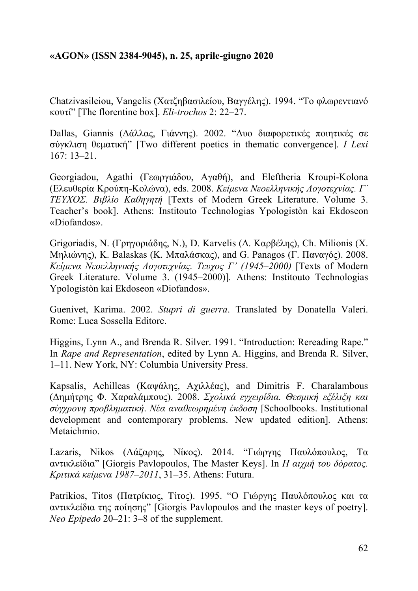Chatzivasileiou, Vangelis (Χατζηβασιλείου, Βαγγέλης). 1994. "Το φλωρεντιανό κουτί" [The florentine box]. *Eli-trochos* 2: 22–27.

Dallas, Giannis (Δάλλας, Γιάννης). 2002. "Δυο διαφορετικές ποιητικές σε σύγκλιση θεµατική" [Two different poetics in thematic convergence]. *I Lexi* 167: 13–21.

Georgiadou, Agathi (Γεωργιάδου, Αγαθή), and Eleftheria Kroupi-Kolona (Ελευθερία Κρούπη-Κολώνα), eds. 2008. *Κείµενα Νεοελληνικής Λογοτεχνίας. Γ΄ ΤΕΥΧΟΣ. Βιβλίο Καθηγητή* [Texts of Modern Greek Literature. Volume 3. Teacher's book]. Athens: Institouto Technologias Ypologistòn kai Ekdoseon «Diofandos».

Grigoriadis, Ν. (Γρηγοριάδης, Ν.), D. Karvelis (Δ. Καρβέλης), Ch. Milionis (Χ. Μηλιώνης), K. Balaskas (Κ. Μπαλάσκας), and G. Panagos (Γ. Παναγός). 2008. *Κείµενα Νεοελληνικής Λογοτεχνίας. Τευχος Γ' (1945–2000)* [Texts of Modern Greek Literature. Volume 3. (1945*–*2000)]*.* Athens: Institouto Technologias Ypologistòn kai Ekdoseon «Diofandos».

Guenivet, Karima. 2002. *Stupri di guerra*. Translated by Donatella Valeri. Rome: Luca Sossella Editore.

Higgins, Lynn A., and Brenda R. Silver. 1991. "Introduction: Rereading Rape." In *Rape and Representation*, edited by Lynn A. Higgins, and Brenda R. Silver, 1–11. New York, NY: Columbia University Press.

Kapsalis, Achilleas (Καψάλης, Αχιλλέας), and Dimitris F. Charalambous (Δηµήτρης Φ. Χαραλάµπους). 2008. *Σχολικά εγχειρίδια. Θεσµική εξέλιξη και σύγχρονη προβληµατική*. *Νέα αναθεωρηµένη έκδοση* [Schoolbooks. Institutional development and contemporary problems. New updated edition]*.* Athens: Metaichmio.

Lazaris, Nikos (Λάζαρης, Νίκος). 2014. "Γιώργης Παυλόπουλος, Τα αντικλείδια" [Giorgis Pavlopoulos, The Master Keys]. In *Η αιχµή του δόρατος. Κριτικά κείµενα 1987–2011*, 31–35. Athens: Futura.

Patrikios, Titos (Πατρίκιος, Τίτος). 1995. "Ο Γιώργης Παυλόπουλος και τα αντικλείδια της ποίησης" [Giorgis Pavlopoulos and the master keys of poetry]. *Neo Epipedo* 20–21: 3–8 of the supplement.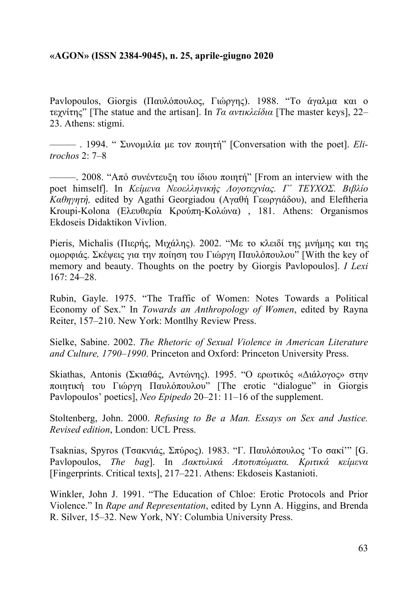Pavlopoulos, Giorgis (Παυλόπουλος, Γιώργης). 1988. "Το άγαλμα και ο τεχνίτης" [The statue and the artisan]. In *Τα αντικλείδια* [The master keys], 22– 23. Athens: stigmi.

*———* . 1994. " Συνοµιλία µε τον ποιητή" [Conversation with the poet]. *Elitrochos* 2: 7–8

*———*. 2008. "Από συνέντευξη του ίδιου ποιητή" [From an interview with the poet himself]. In *Κείµενα Νεοελληνικής Λογοτεχνίας. Γ΄ ΤΕΥΧΟΣ. Βιβλίο Καθηγητή,* edited by Agathi Georgiadou (Αγαθή Γεωργιάδου), and Eleftheria Kroupi-Kolona (Ελευθερία Κρούπη-Κολώνα) , 181. Athens: Organismos Ekdoseis Didaktikon Vivlion.

Pieris, Michalis (Πιερής, Μιχάλης). 2002. "Με το κλειδί της μνήμης και της οµορφιάς. Σκέψεις για την ποίηση του Γιώργη Παυλόπουλου" [With the key of memory and beauty. Thoughts on the poetry by Giorgis Pavlopoulos]. *I Lexi* 167: 24–28.

Rubin, Gayle. 1975. "The Traffic of Women: Notes Towards a Political Economy of Sex." In *Towards an Anthropology of Women*, edited by Rayna Reiter, 157–210. New York: Montlhy Review Press.

Sielke, Sabine. 2002. *The Rhetoric of Sexual Violence in American Literature and Culture, 1790–1990*. Princeton and Oxford: Princeton University Press.

Skiathas, Antonis (Σκιαθάς, Αντώνης). 1995. "Ο ερωτικός «Διάλογος» στην ποιητική του Γιώργη Παυλόπουλου" [The erotic "dialogue" in Giorgis Pavlopoulos' poetics], *Neo Epipedo* 20–21: 11–16 of the supplement.

Stoltenberg, John. 2000. *Refusing to Be a Man. Essays on Sex and Justice. Revised edition*, London: UCL Press.

Tsaknias, Spyros (Τσακνιάς, Σπύρος). 1983. "Γ. Παυλόπουλος 'Το σακί'" [G. Pavlopoulos, *The bag*]. In *Δακτυλικά Αποτυπώµατα. Κριτικά κείµενα* [Fingerprints. Critical texts], 217–221. Athens: Ekdoseis Kastanioti.

Winkler, John J. 1991. "The Education of Chloe: Erotic Protocols and Prior Violence." In *Rape and Representation*, edited by Lynn A. Higgins, and Brenda R. Silver, 15–32. New York, NY: Columbia University Press.